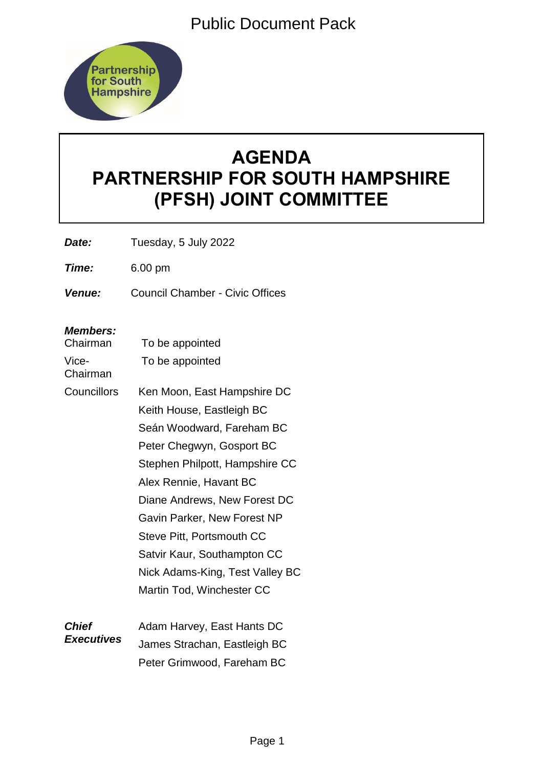Public Document Pack



# **AGENDA PARTNERSHIP FOR SOUTH HAMPSHIRE (PFSH) JOINT COMMITTEE**

*Date:* Tuesday, 5 July 2022

*Time:* 6.00 pm

*Venue:* Council Chamber - Civic Offices

# *Members:*

| Chairman                          | To be appointed                 |
|-----------------------------------|---------------------------------|
| Vice-<br>Chairman                 | To be appointed                 |
| <b>Councillors</b>                | Ken Moon, East Hampshire DC     |
|                                   | Keith House, Eastleigh BC       |
|                                   | Seán Woodward, Fareham BC       |
|                                   | Peter Chegwyn, Gosport BC       |
|                                   | Stephen Philpott, Hampshire CC  |
|                                   | Alex Rennie, Havant BC          |
|                                   | Diane Andrews, New Forest DC    |
|                                   | Gavin Parker, New Forest NP     |
|                                   | Steve Pitt, Portsmouth CC       |
|                                   | Satvir Kaur, Southampton CC     |
|                                   | Nick Adams-King, Test Valley BC |
|                                   | Martin Tod, Winchester CC       |
| <b>Chief</b><br><b>Executives</b> | Adam Harvey, East Hants DC      |
|                                   | James Strachan, Eastleigh BC    |
|                                   | Peter Grimwood, Fareham BC      |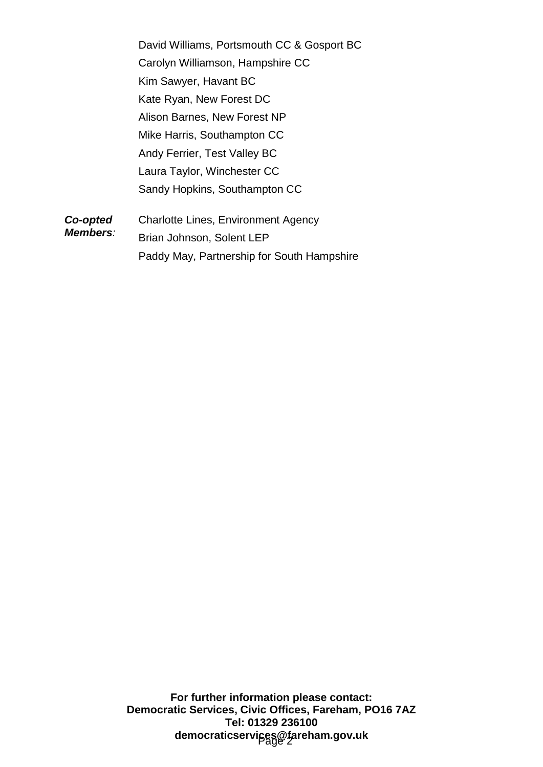Paddy May, Partnership for South Hampshire

**For further information please contact: Democratic Services, Civic Offices, Fareham, PO16 7AZ Tel: 01329 236100** democraticservi<sub>j</sub>ces@fareham.gov.uk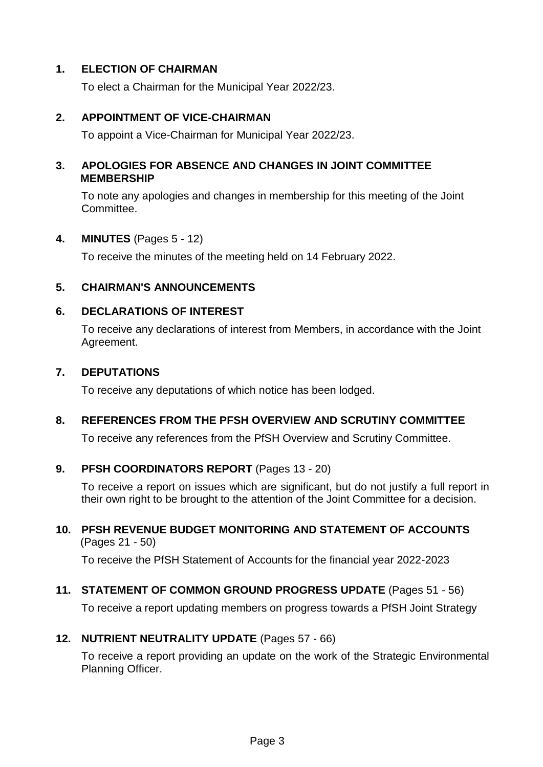# **1. ELECTION OF CHAIRMAN**

To elect a Chairman for the Municipal Year 2022/23.

# **2. APPOINTMENT OF VICE-CHAIRMAN**

To appoint a Vice-Chairman for Municipal Year 2022/23.

# **3. APOLOGIES FOR ABSENCE AND CHANGES IN JOINT COMMITTEE MEMBERSHIP**

To note any apologies and changes in membership for this meeting of the Joint Committee.

#### **4. MINUTES** (Pages 5 - 12)

To receive the minutes of the meeting held on 14 February 2022.

# **5. CHAIRMAN'S ANNOUNCEMENTS**

# **6. DECLARATIONS OF INTEREST**

To receive any declarations of interest from Members, in accordance with the Joint Agreement.

#### **7. DEPUTATIONS**

To receive any deputations of which notice has been lodged.

# **8. REFERENCES FROM THE PFSH OVERVIEW AND SCRUTINY COMMITTEE**

To receive any references from the PfSH Overview and Scrutiny Committee.

# **9. PFSH COORDINATORS REPORT** (Pages 13 - 20)

To receive a report on issues which are significant, but do not justify a full report in their own right to be brought to the attention of the Joint Committee for a decision.

#### **10. PFSH REVENUE BUDGET MONITORING AND STATEMENT OF ACCOUNTS** (Pages 21 - 50)

To receive the PfSH Statement of Accounts for the financial year 2022-2023

# **11. STATEMENT OF COMMON GROUND PROGRESS UPDATE** (Pages 51 - 56)

To receive a report updating members on progress towards a PfSH Joint Strategy

# **12. NUTRIENT NEUTRALITY UPDATE** (Pages 57 - 66)

To receive a report providing an update on the work of the Strategic Environmental Planning Officer.